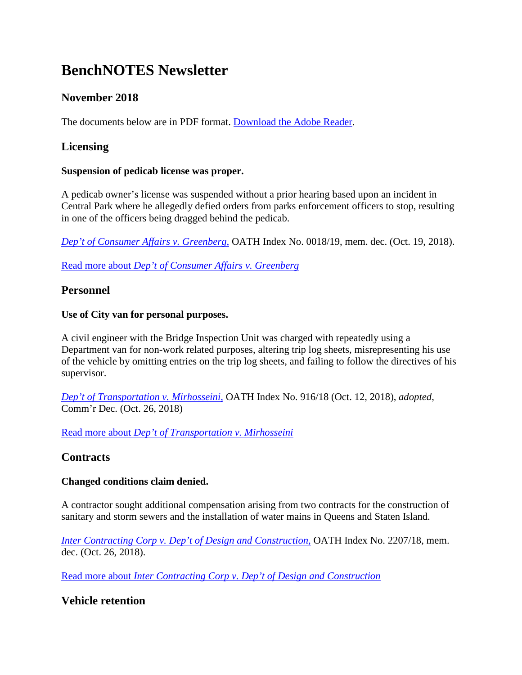# **BenchNOTES Newsletter**

# **November 2018**

The documents below are in PDF format. [Download the Adobe Reader.](http://get.adobe.com/reader/)

## **Licensing**

#### **Suspension of pedicab license was proper.**

A pedicab owner's license was suspended without a prior hearing based upon an incident in Central Park where he allegedly defied orders from parks enforcement officers to stop, resulting in one of the officers being dragged behind the pedicab.

*[Dep't of Consumer Affairs v. Greenberg,](http://archive.citylaw.org/wp-content/uploads/sites/17/oath/19_cases/19-18-md.pdf)* OATH Index No. 0018/19, mem. dec. (Oct. 19, 2018).

Read more about *[Dep't of Consumer Affairs v. Greenberg](http://www1.nyc.gov/site/oath/trials/decisions.page#licensing)*

## **Personnel**

#### **Use of City van for personal purposes.**

A civil engineer with the Bridge Inspection Unit was charged with repeatedly using a Department van for non-work related purposes, altering trip log sheets, misrepresenting his use of the vehicle by omitting entries on the trip log sheets, and failing to follow the directives of his supervisor.

*[Dep't of Transportation v. Mirhosseini,](http://archive.citylaw.org/wp-content/uploads/sites/17/oath/18_cases/18-916.pdf)* OATH Index No. 916/18 (Oct. 12, 2018), *adopted*, Comm'r Dec. (Oct. 26, 2018)

Read more about *[Dep't of Transportation v. Mirhosseini](http://www1.nyc.gov/site/oath/trials/decisions.page#personnel)*

## **Contracts**

#### **Changed conditions claim denied.**

A contractor sought additional compensation arising from two contracts for the construction of sanitary and storm sewers and the installation of water mains in Queens and Staten Island.

*[Inter Contracting Corp v. Dep't of Design and Construction,](http://archive.citylaw.org/wp-content/uploads/sites/17/oath/18_cases/18-2207md.pdf)* OATH Index No. 2207/18, mem. dec. (Oct. 26, 2018).

Read more about *[Inter Contracting Corp v. Dep't of Design and Construction](http://www1.nyc.gov/site/oath/trials/decisions.page#contracts)*

## **Vehicle retention**